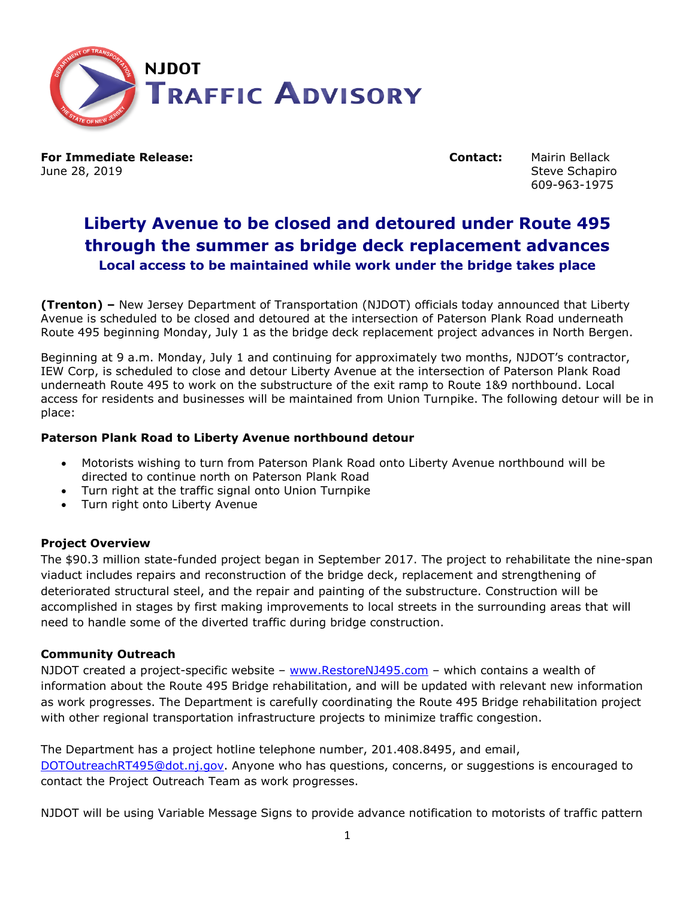

**For Immediate Release: Contact:** Mairin Bellack June 28, 2019 Steve Schapiro Steve Schapiro Steve Schapiro Steve Schapiro

609-963-1975

## **Liberty Avenue to be closed and detoured under Route 495 through the summer as bridge deck replacement advances Local access to be maintained while work under the bridge takes place**

**(Trenton) –** New Jersey Department of Transportation (NJDOT) officials today announced that Liberty Avenue is scheduled to be closed and detoured at the intersection of Paterson Plank Road underneath Route 495 beginning Monday, July 1 as the bridge deck replacement project advances in North Bergen.

Beginning at 9 a.m. Monday, July 1 and continuing for approximately two months, NJDOT's contractor, IEW Corp, is scheduled to close and detour Liberty Avenue at the intersection of Paterson Plank Road underneath Route 495 to work on the substructure of the exit ramp to Route 1&9 northbound. Local access for residents and businesses will be maintained from Union Turnpike. The following detour will be in place:

## **Paterson Plank Road to Liberty Avenue northbound detour**

- Motorists wishing to turn from Paterson Plank Road onto Liberty Avenue northbound will be directed to continue north on Paterson Plank Road
- Turn right at the traffic signal onto Union Turnpike
- Turn right onto Liberty Avenue

## **Project Overview**

The \$90.3 million state-funded project began in September 2017. The project to rehabilitate the nine-span viaduct includes repairs and reconstruction of the bridge deck, replacement and strengthening of deteriorated structural steel, and the repair and painting of the substructure. Construction will be accomplished in stages by first making improvements to local streets in the surrounding areas that will need to handle some of the diverted traffic during bridge construction.

## **Community Outreach**

NJDOT created a project-specific website – [www.RestoreNJ495.com](http://www.restorenj495.com/) – which contains a wealth of information about the Route 495 Bridge rehabilitation, and will be updated with relevant new information as work progresses. The Department is carefully coordinating the Route 495 Bridge rehabilitation project with other regional transportation infrastructure projects to minimize traffic congestion.

The Department has a project hotline telephone number, 201.408.8495, and email, [DOTOutreachRT495@dot.nj.gov.](mailto:DOTOutreachRT495@dot.nj.gov) Anyone who has questions, concerns, or suggestions is encouraged to contact the Project Outreach Team as work progresses.

NJDOT will be using Variable Message Signs to provide advance notification to motorists of traffic pattern